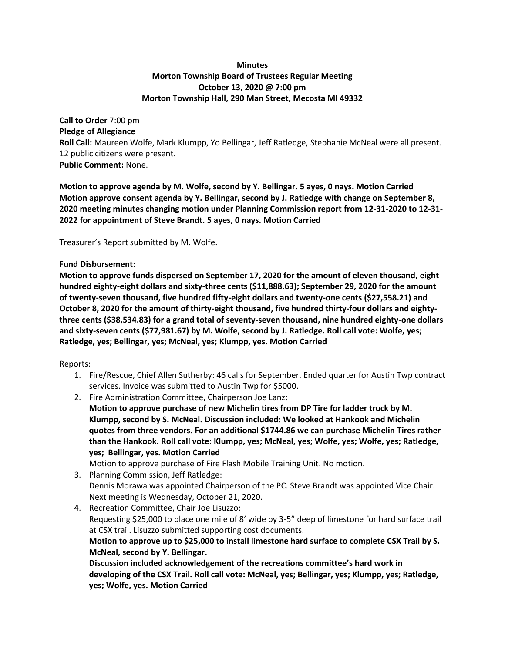# **Minutes Morton Township Board of Trustees Regular Meeting October 13, 2020 @ 7:00 pm Morton Township Hall, 290 Man Street, Mecosta MI 49332**

**Call to Order** 7:00 pm **Pledge of Allegiance Roll Call:** Maureen Wolfe, Mark Klumpp, Yo Bellingar, Jeff Ratledge, Stephanie McNeal were all present. 12 public citizens were present. **Public Comment:** None.

**Motion to approve agenda by M. Wolfe, second by Y. Bellingar. 5 ayes, 0 nays. Motion Carried Motion approve consent agenda by Y. Bellingar, second by J. Ratledge with change on September 8, 2020 meeting minutes changing motion under Planning Commission report from 12-31-2020 to 12-31- 2022 for appointment of Steve Brandt. 5 ayes, 0 nays. Motion Carried**

Treasurer's Report submitted by M. Wolfe.

## **Fund Disbursement:**

**Motion to approve funds dispersed on September 17, 2020 for the amount of eleven thousand, eight hundred eighty-eight dollars and sixty-three cents (\$11,888.63); September 29, 2020 for the amount of twenty-seven thousand, five hundred fifty-eight dollars and twenty-one cents (\$27,558.21) and October 8, 2020 for the amount of thirty-eight thousand, five hundred thirty-four dollars and eightythree cents (\$38,534.83) for a grand total of seventy-seven thousand, nine hundred eighty-one dollars and sixty-seven cents (\$77,981.67) by M. Wolfe, second by J. Ratledge. Roll call vote: Wolfe, yes; Ratledge, yes; Bellingar, yes; McNeal, yes; Klumpp, yes. Motion Carried**

## Reports:

- 1. Fire/Rescue, Chief Allen Sutherby: 46 calls for September. Ended quarter for Austin Twp contract services. Invoice was submitted to Austin Twp for \$5000.
- 2. Fire Administration Committee, Chairperson Joe Lanz:
	- **Motion to approve purchase of new Michelin tires from DP Tire for ladder truck by M. Klumpp, second by S. McNeal. Discussion included: We looked at Hankook and Michelin quotes from three vendors. For an additional \$1744.86 we can purchase Michelin Tires rather than the Hankook. Roll call vote: Klumpp, yes; McNeal, yes; Wolfe, yes; Wolfe, yes; Ratledge, yes; Bellingar, yes. Motion Carried**

Motion to approve purchase of Fire Flash Mobile Training Unit. No motion.

- 3. Planning Commission, Jeff Ratledge: Dennis Morawa was appointed Chairperson of the PC. Steve Brandt was appointed Vice Chair. Next meeting is Wednesday, October 21, 2020.
- 4. Recreation Committee, Chair Joe Lisuzzo: Requesting \$25,000 to place one mile of 8' wide by 3-5" deep of limestone for hard surface trail at CSX trail. Lisuzzo submitted supporting cost documents. **Motion to approve up to \$25,000 to install limestone hard surface to complete CSX Trail by S. McNeal, second by Y. Bellingar. Discussion included acknowledgement of the recreations committee's hard work in**

**developing of the CSX Trail. Roll call vote: McNeal, yes; Bellingar, yes; Klumpp, yes; Ratledge, yes; Wolfe, yes. Motion Carried**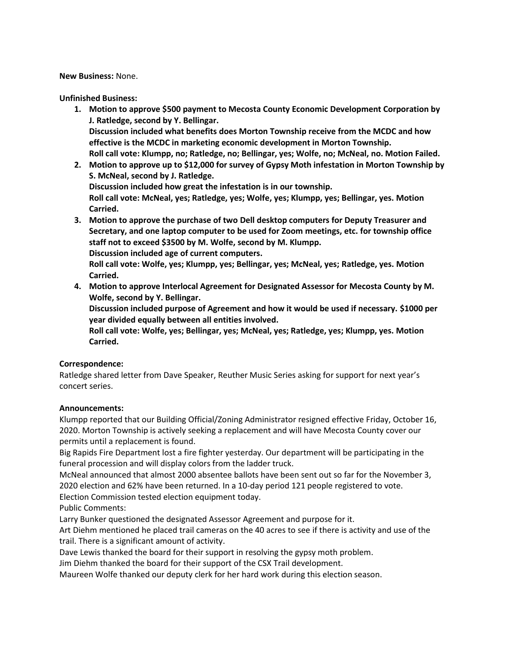**New Business:** None.

**Unfinished Business:** 

- **1. Motion to approve \$500 payment to Mecosta County Economic Development Corporation by J. Ratledge, second by Y. Bellingar. Discussion included what benefits does Morton Township receive from the MCDC and how effective is the MCDC in marketing economic development in Morton Township. Roll call vote: Klumpp, no; Ratledge, no; Bellingar, yes; Wolfe, no; McNeal, no. Motion Failed.**
- **2. Motion to approve up to \$12,000 for survey of Gypsy Moth infestation in Morton Township by S. McNeal, second by J. Ratledge. Discussion included how great the infestation is in our township.**

**Roll call vote: McNeal, yes; Ratledge, yes; Wolfe, yes; Klumpp, yes; Bellingar, yes. Motion Carried.**

**3. Motion to approve the purchase of two Dell desktop computers for Deputy Treasurer and Secretary, and one laptop computer to be used for Zoom meetings, etc. for township office staff not to exceed \$3500 by M. Wolfe, second by M. Klumpp. Discussion included age of current computers.**

**Roll call vote: Wolfe, yes; Klumpp, yes; Bellingar, yes; McNeal, yes; Ratledge, yes. Motion Carried.**

**4. Motion to approve Interlocal Agreement for Designated Assessor for Mecosta County by M. Wolfe, second by Y. Bellingar.** 

**Discussion included purpose of Agreement and how it would be used if necessary. \$1000 per year divided equally between all entities involved.**

**Roll call vote: Wolfe, yes; Bellingar, yes; McNeal, yes; Ratledge, yes; Klumpp, yes. Motion Carried.**

## **Correspondence:**

Ratledge shared letter from Dave Speaker, Reuther Music Series asking for support for next year's concert series.

## **Announcements:**

Klumpp reported that our Building Official/Zoning Administrator resigned effective Friday, October 16, 2020. Morton Township is actively seeking a replacement and will have Mecosta County cover our permits until a replacement is found.

Big Rapids Fire Department lost a fire fighter yesterday. Our department will be participating in the funeral procession and will display colors from the ladder truck.

McNeal announced that almost 2000 absentee ballots have been sent out so far for the November 3, 2020 election and 62% have been returned. In a 10-day period 121 people registered to vote.

Election Commission tested election equipment today.

Public Comments:

Larry Bunker questioned the designated Assessor Agreement and purpose for it.

Art Diehm mentioned he placed trail cameras on the 40 acres to see if there is activity and use of the trail. There is a significant amount of activity.

Dave Lewis thanked the board for their support in resolving the gypsy moth problem.

Jim Diehm thanked the board for their support of the CSX Trail development.

Maureen Wolfe thanked our deputy clerk for her hard work during this election season.